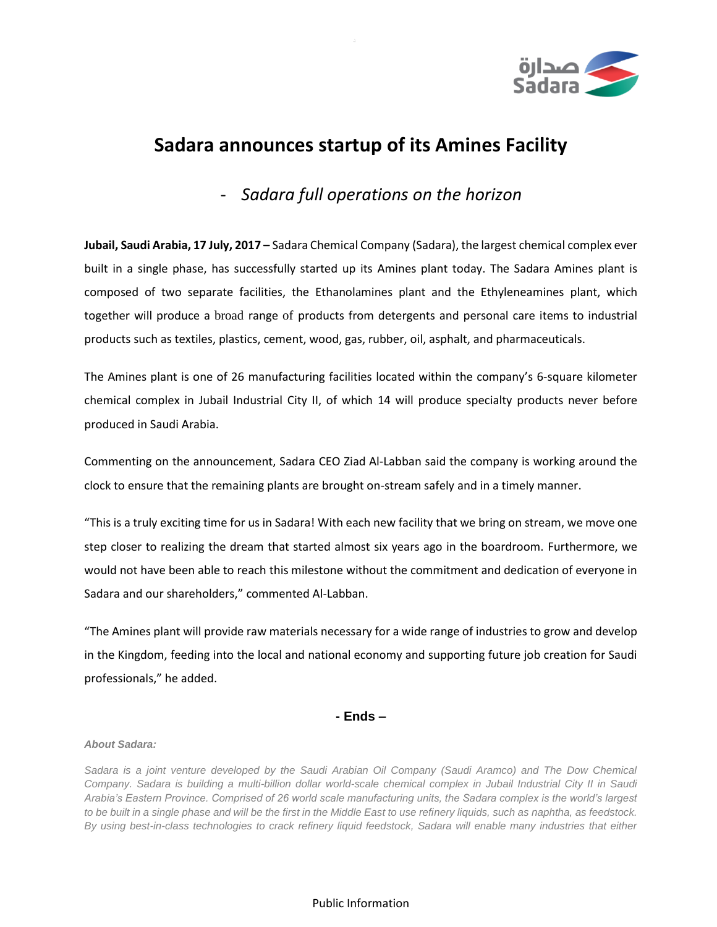

## **Sadara announces startup of its Amines Facility**

- *Sadara full operations on the horizon*

**Jubail, Saudi Arabia, 17 July, 2017 –** Sadara Chemical Company (Sadara), the largest chemical complex ever built in a single phase, has successfully started up its Amines plant today. The Sadara Amines plant is composed of two separate facilities, the Ethanolamines plant and the Ethyleneamines plant, which together will produce a broad range of products from detergents and personal care items to industrial products such as textiles, plastics, cement, wood, gas, rubber, oil, asphalt, and pharmaceuticals.

The Amines plant is one of 26 manufacturing facilities located within the company's 6-square kilometer chemical complex in Jubail Industrial City II, of which 14 will produce specialty products never before produced in Saudi Arabia.

Commenting on the announcement, Sadara CEO Ziad Al-Labban said the company is working around the clock to ensure that the remaining plants are brought on-stream safely and in a timely manner.

"This is a truly exciting time for us in Sadara! With each new facility that we bring on stream, we move one step closer to realizing the dream that started almost six years ago in the boardroom. Furthermore, we would not have been able to reach this milestone without the commitment and dedication of everyone in Sadara and our shareholders," commented Al-Labban.

"The Amines plant will provide raw materials necessary for a wide range of industries to grow and develop in the Kingdom, feeding into the local and national economy and supporting future job creation for Saudi professionals," he added.

## **- Ends –**

## *About Sadara:*

*Sadara is a joint venture developed by the Saudi Arabian Oil Company (Saudi Aramco) and The Dow Chemical Company. Sadara is building a multi-billion dollar world-scale chemical complex in Jubail Industrial City II in Saudi Arabia's Eastern Province. Comprised of 26 world scale manufacturing units, the Sadara complex is the world's largest to be built in a single phase and will be the first in the Middle East to use refinery liquids, such as naphtha, as feedstock. By using best-in-class technologies to crack refinery liquid feedstock, Sadara will enable many industries that either* 

## Public Information